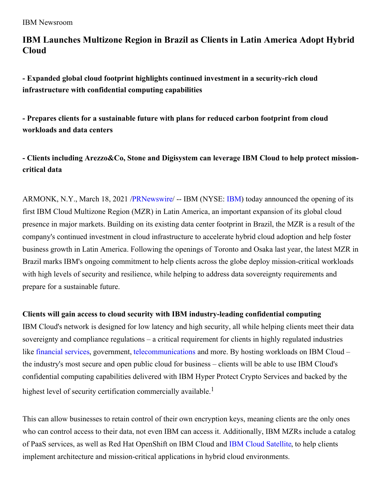## **IBM Launches Multizone Region in Brazil as Clients in Latin America Adopt Hybrid Cloud**

**- Expanded global cloud footprint highlights continued investment in a security-rich cloud infrastructure with confidential computing capabilities**

**- Prepares clients for a sustainable future with plans for reduced carbon footprint from cloud workloads and data centers**

**- Clients including Arezzo&Co, Stone and Digisystem can leverage IBM Cloud to help protect missioncritical data**

ARMONK, N.Y., March 18, 2021 [/PRNewswire](http://www.prnewswire.com/)/ -- [IBM](https://c212.net/c/link/?t=0&l=en&o=3100916-1&h=2635981938&u=http%3A%2F%2Fwww.ibm.com%2Finvestor&a=IBM) (NYSE: IBM) today announced the opening of its first IBM Cloud Multizone Region (MZR) in Latin America, an important expansion of its global cloud presence in major markets. Building on its existing data center footprint in Brazil, the MZR is a result of the company's continued investment in cloud infrastructure to accelerate hybrid cloud adoption and help foster business growth in Latin America. Following the openings of Toronto and Osaka last year, the latest MZR in Brazil marks IBM's ongoing commitment to help clients across the globe deploy mission-critical workloads with high levels of security and resilience, while helping to address data sovereignty requirements and prepare for a sustainable future.

### **Clients will gain access to cloud security with IBM industry-leading confidential computing**

IBM Cloud's network is designed for low latency and high security, all while helping clients meet their data sovereignty and compliance regulations – a critical requirement for clients in highly regulated industries like [financial](https://c212.net/c/link/?t=0&l=en&o=3100916-1&h=630869968&u=https%3A%2F%2Fnewsroom.ibm.com%2F2020-07-22-IBM-and-Bank-of-America-Advance-IBM-Cloud-for-Financial-Services-BNP-Paribas-Joins-as-Anchor-Client-in-Europe&a=financial+services) services, government, [telecommunications](https://c212.net/c/link/?t=0&l=en&o=3100916-1&h=755907861&u=https%3A%2F%2Fnewsroom.ibm.com%2FIntroducing-IBM-Cloud-for-Telecommunications-with-35-Partners-Committed-to-Join-IBMs-Ecosystem-and-Help-Drive-Business-Transformation&a=telecommunications) and more. By hosting workloads on IBM Cloud – the industry's most secure and open public cloud for business – clients will be able to use IBM Cloud's confidential computing capabilities delivered with IBM Hyper Protect Crypto Services and backed by the highest level of security certification commercially available.<sup>1</sup>

This can allow businesses to retain control of their own encryption keys, meaning clients are the only ones who can control access to their data, not even IBM can access it. Additionally, IBM MZRs include a catalog of PaaS services, as well as Red Hat OpenShift on IBM Cloud and IBM Cloud [Satellite](https://c212.net/c/link/?t=0&l=en&o=3100916-1&h=2421378883&u=https%3A%2F%2Fwww.ibm.com%2Fcloud%2Fsatellite&a=IBM+Cloud+Satellite), to help clients implement architecture and mission-critical applications in hybrid cloud environments.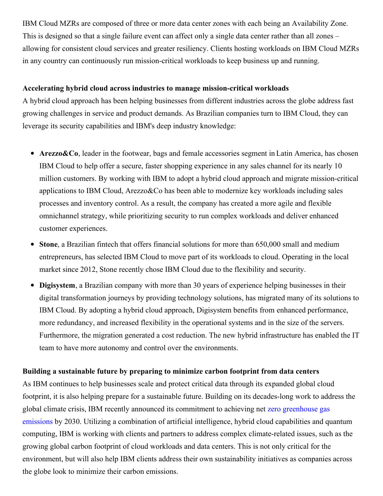IBM Cloud MZRs are composed of three or more data center zones with each being an Availability Zone. This is designed so that a single failure event can affect only a single data center rather than all zones – allowing for consistent cloud services and greater resiliency. Clients hosting workloads on IBM Cloud MZRs in any country can continuously run mission-critical workloads to keep business up and running.

#### **Accelerating hybrid cloud across industries to manage mission-critical workloads**

A hybrid cloud approach has been helping businesses from different industries across the globe address fast growing challenges in service and product demands. As Brazilian companies turn to IBM Cloud, they can leverage its security capabilities and IBM's deep industry knowledge:

- **Arezzo&Co**, leader in the footwear, bags and female accessories segment in Latin America, has chosen IBM Cloud to help offer a secure, faster shopping experience in any sales channel for its nearly 10 million customers. By working with IBM to adopt a hybrid cloud approach and migrate mission-critical applications to IBM Cloud, Arezzo&Co has been able to modernize key workloads including sales processes and inventory control. As a result, the company has created a more agile and flexible omnichannel strategy, while prioritizing security to run complex workloads and deliver enhanced customer experiences.
- **Stone**, a Brazilian fintech that offers financial solutions for more than 650,000 small and medium  $\bullet$ entrepreneurs, has selected IBM Cloud to move part of its workloads to cloud. Operating in the local market since 2012, Stone recently chose IBM Cloud due to the flexibility and security.
- **Digisystem**, a Brazilian company with more than 30 years of experience helping businesses in their digital transformation journeys by providing technology solutions, has migrated many of its solutions to IBM Cloud. By adopting a hybrid cloud approach, Digisystem benefits from enhanced performance, more redundancy, and increased flexibility in the operational systems and in the size of the servers. Furthermore, the migration generated a cost reduction. The new hybrid infrastructure has enabled the IT team to have more autonomy and control over the environments.

#### **Building a sustainable future by preparing to minimize carbon footprint from data centers**

As IBM continues to help businesses scale and protect critical data through its expanded global cloud footprint, it is also helping prepare for a sustainable future. Building on its decades-long work to address the global climate crisis, IBM recently announced its [commitment](https://c212.net/c/link/?t=0&l=en&o=3100916-1&h=1590550246&u=https%3A%2F%2Fnewsroom.ibm.com%2F2021-02-16-IBM-Commits-To-Net-Zero-Greenhouse-Gas-Emissions-By-2030&a=zero+greenhouse+gas+emissions) to achieving net zero greenhouse gas emissions by 2030. Utilizing a combination of artificial intelligence, hybrid cloud capabilities and quantum computing, IBM is working with clients and partners to address complex climate-related issues, such as the growing global carbon footprint of cloud workloads and data centers. This is not only critical for the environment, but will also help IBM clients address their own sustainability initiatives as companies across the globe look to minimize their carbon emissions.